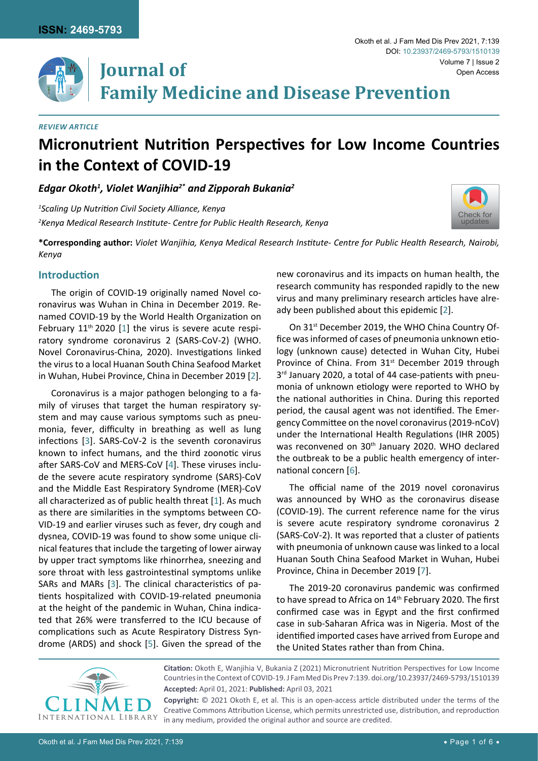

Volume 7 | Issue 2 **Journal of Family Medicine and Disease Prevention**

#### *Review Article*

# **Micronutrient Nutrition Perspectives for Low Income Countries in the Context of COVID-19**

*Edgar Okoth1 , Violet Wanjihia2\* and Zipporah Bukania2*

*1 Scaling Up Nutrition Civil Society Alliance, Kenya 2 Kenya Medical Research Institute- Centre for Public Health Research, Kenya*



**\*Corresponding author:** *Violet Wanjihia, Kenya Medical Research Institute- Centre for Public Health Research, Nairobi, Kenya*

## **Introduction**

The origin of COVID-19 originally named Novel coronavirus was Wuhan in China in December 2019. Renamed COVID-19 by the World Health Organization on February  $11<sup>th</sup> 2020$  $11<sup>th</sup> 2020$  [1] the virus is severe acute respiratory syndrome coronavirus 2 (SARS-CoV-2) (WHO. Novel Coronavirus-China, 2020). Investigations linked the virus to a local Huanan South China Seafood Market in Wuhan, Hubei Province, China in December 2019 [[2](#page-4-0)].

Coronavirus is a major pathogen belonging to a family of viruses that target the human respiratory system and may cause various symptoms such as pneumonia, fever, difficulty in breathing as well as lung infections [[3](#page-4-3)]. SARS-CoV-2 is the seventh coronavirus known to infect humans, and the third zoonotic virus after SARS-CoV and MERS-CoV [\[4](#page-4-4)]. These viruses include the severe acute respiratory syndrome (SARS)-CoV and the Middle East Respiratory Syndrome (MER)-CoV all characterized as of public health threat [[1](#page-4-2)]. As much as there are similarities in the symptoms between CO-VID-19 and earlier viruses such as fever, dry cough and dysnea, COVID-19 was found to show some unique clinical features that include the targeting of lower airway by upper tract symptoms like rhinorrhea, sneezing and sore throat with less gastrointestinal symptoms unlike SARs and MARs [\[3](#page-4-3)]. The clinical characteristics of patients hospitalized with COVID-19-related pneumonia at the height of the pandemic in Wuhan, China indicated that 26% were transferred to the ICU because of complications such as Acute Respiratory Distress Syndrome (ARDS) and shock [[5](#page-4-5)]. Given the spread of the

new coronavirus and its impacts on human health, the research community has responded rapidly to the new virus and many preliminary research articles have already been published about this epidemic [[2](#page-4-0)].

On 31<sup>st</sup> December 2019, the WHO China Country Office was informed of cases of pneumonia unknown etiology (unknown cause) detected in Wuhan City, Hubei Province of China. From 31<sup>st</sup> December 2019 through 3<sup>rd</sup> January 2020, a total of 44 case-patients with pneumonia of unknown etiology were reported to WHO by the national authorities in China. During this reported period, the causal agent was not identified. The Emergency Committee on the novel coronavirus (2019-nCoV) under the International Health Regulations (IHR 2005) was reconvened on 30<sup>th</sup> January 2020. WHO declared the outbreak to be a public health emergency of international concern [[6\]](#page-4-1).

The official name of the 2019 novel coronavirus was announced by WHO as the coronavirus disease (COVID-19). The current reference name for the virus is severe acute respiratory syndrome coronavirus 2 (SARS-CoV-2). It was reported that a cluster of patients with pneumonia of unknown cause was linked to a local Huanan South China Seafood Market in Wuhan, Hubei Province, China in December 2019 [\[7](#page-5-0)].

The 2019-20 coronavirus pandemic was confirmed to have spread to Africa on 14<sup>th</sup> February 2020. The first confirmed case was in Egypt and the first confirmed case in sub-Saharan Africa was in Nigeria. Most of the identified imported cases have arrived from Europe and the United States rather than from China.



**Citation:** Okoth E, Wanjihia V, Bukania Z (2021) Micronutrient Nutrition Perspectives for Low Income Countries in the Context of COVID-19. J Fam Med Dis Prev 7:139. [doi.org/10.23937/2469-5793/1510139](https://doi.org/10.23937/2469-5793/1510139) **Accepted:** April 01, 2021: **Published:** April 03, 2021 **Copyright:** © 2021 Okoth E, et al. This is an open-access article distributed under the terms of the

Creative Commons Attribution License, which permits unrestricted use, distribution, and reproduction in any medium, provided the original author and source are credited.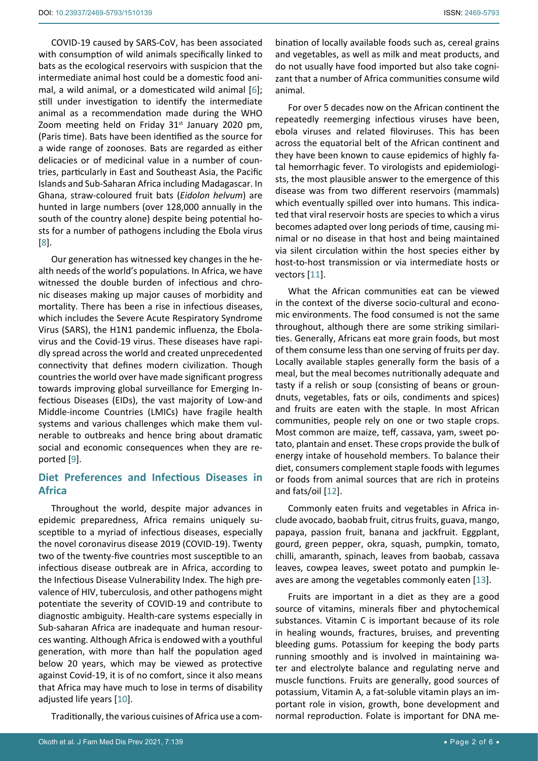COVID-19 caused by SARS-CoV, has been associated with consumption of wild animals specifically linked to bats as the ecological reservoirs with suspicion that the intermediate animal host could be a domestic food animal, a wild animal, or a domesticated wild animal [[6](#page-4-1)]; still under investigation to identify the intermediate animal as a recommendation made during the WHO Zoom meeting held on Friday  $31<sup>st</sup>$  January 2020 pm, (Paris time). Bats have been identified as the source for a wide range of zoonoses. Bats are regarded as either delicacies or of medicinal value in a number of countries, particularly in East and Southeast Asia, the Pacific Islands and Sub-Saharan Africa including Madagascar. In Ghana, straw-coloured fruit bats (*Eidolon helvum*) are hunted in large numbers (over 128,000 annually in the south of the country alone) despite being potential hosts for a number of pathogens including the Ebola virus [[8](#page-5-1)].

Our generation has witnessed key changes in the health needs of the world's populations. In Africa, we have witnessed the double burden of infectious and chronic diseases making up major causes of morbidity and mortality. There has been a rise in infectious diseases, which includes the Severe Acute Respiratory Syndrome Virus (SARS), the H1N1 pandemic influenza, the Ebolavirus and the Covid-19 virus. These diseases have rapidly spread across the world and created unprecedented connectivity that defines modern civilization. Though countries the world over have made significant progress towards improving global surveillance for Emerging Infectious Diseases (EIDs), the vast majority of Low-and Middle-income Countries (LMICs) have fragile health systems and various challenges which make them vulnerable to outbreaks and hence bring about dramatic social and economic consequences when they are reported [[9](#page-5-2)].

# **Diet Preferences and Infectious Diseases in Africa**

Throughout the world, despite major advances in epidemic preparedness, Africa remains uniquely susceptible to a myriad of infectious diseases, especially the novel coronavirus disease 2019 (COVID-19). Twenty two of the twenty-five countries most susceptible to an infectious disease outbreak are in Africa, according to the Infectious Disease Vulnerability Index. The high prevalence of HIV, tuberculosis, and other pathogens might potentiate the severity of COVID-19 and contribute to diagnostic ambiguity. Health-care systems especially in Sub-saharan Africa are inadequate and human resources wanting. Although Africa is endowed with a youthful generation, with more than half the population aged below 20 years, which may be viewed as protective against Covid-19, it is of no comfort, since it also means that Africa may have much to lose in terms of disability adjusted life years [[10](#page-5-3)].

Traditionally, the various cuisines of Africa use a com-

bination of locally available foods such as, cereal grains and vegetables, as well as milk and meat products, and do not usually have food imported but also take cognizant that a number of Africa communities consume wild animal.

For over 5 decades now on the African continent the repeatedly reemerging infectious viruses have been, ebola viruses and related filoviruses. This has been across the equatorial belt of the African continent and they have been known to cause epidemics of highly fatal hemorrhagic fever. To virologists and epidemiologists, the most plausible answer to the emergence of this disease was from two different reservoirs (mammals) which eventually spilled over into humans. This indicated that viral reservoir hosts are species to which a virus becomes adapted over long periods of time, causing minimal or no disease in that host and being maintained via silent circulation within the host species either by host-to-host transmission or via intermediate hosts or vectors [[11](#page-5-4)].

What the African communities eat can be viewed in the context of the diverse socio-cultural and economic environments. The food consumed is not the same throughout, although there are some striking similarities. Generally, Africans eat more grain foods, but most of them consume less than one serving of fruits per day. Locally available staples generally form the basis of a meal, but the meal becomes nutritionally adequate and tasty if a relish or soup (consisting of beans or groundnuts, vegetables, fats or oils, condiments and spices) and fruits are eaten with the staple. In most African communities, people rely on one or two staple crops. Most common are maize, teff, cassava, yam, sweet potato, plantain and enset. These crops provide the bulk of energy intake of household members. To balance their diet, consumers complement staple foods with legumes or foods from animal sources that are rich in proteins and fats/oil [[12](#page-5-5)].

Commonly eaten fruits and vegetables in Africa include avocado, baobab fruit, citrus fruits, guava, mango, papaya, passion fruit, banana and jackfruit. Eggplant, gourd, green pepper, okra, squash, pumpkin, tomato, chilli, amaranth, spinach, leaves from baobab, cassava leaves, cowpea leaves, sweet potato and pumpkin leaves are among the vegetables commonly eaten [[13\]](#page-5-6).

Fruits are important in a diet as they are a good source of vitamins, minerals fiber and phytochemical substances. Vitamin C is important because of its role in healing wounds, fractures, bruises, and preventing bleeding gums. Potassium for keeping the body parts running smoothly and is involved in maintaining water and electrolyte balance and regulating nerve and muscle functions. Fruits are generally, good sources of potassium, Vitamin A, a fat-soluble vitamin plays an important role in vision, growth, bone development and normal reproduction. Folate is important for DNA me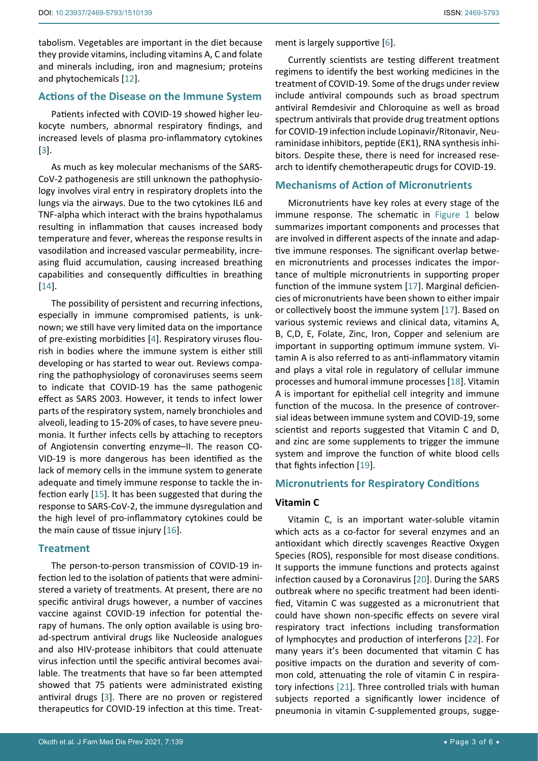tabolism. Vegetables are important in the diet because they provide vitamins, including vitamins A, C and folate and minerals including, iron and magnesium; proteins and phytochemicals [[12](#page-5-5)].

## **Actions of the Disease on the Immune System**

Patients infected with COVID-19 showed higher leukocyte numbers, abnormal respiratory findings, and increased levels of plasma pro-inflammatory cytokines [[3](#page-4-3)].

As much as key molecular mechanisms of the SARS-CoV-2 pathogenesis are still unknown the pathophysiology involves viral entry in respiratory droplets into the lungs via the airways. Due to the two cytokines IL6 and TNF-alpha which interact with the brains hypothalamus resulting in inflammation that causes increased body temperature and fever, whereas the response results in vasodilation and increased vascular permeability, increasing fluid accumulation, causing increased breathing capabilities and consequently difficulties in breathing [[14](#page-5-13)].

The possibility of persistent and recurring infections, especially in immune compromised patients, is unknown; we still have very limited data on the importance of pre-existing morbidities [\[4\]](#page-4-4). Respiratory viruses flourish in bodies where the immune system is either still developing or has started to wear out. Reviews comparing the pathophysiology of coronaviruses seems seem to indicate that COVID-19 has the same pathogenic effect as SARS 2003. However, it tends to infect lower parts of the respiratory system, namely bronchioles and alveoli, leading to 15-20% of cases, to have severe pneumonia. It further infects cells by attaching to receptors of Angiotensin converting enzyme–II. The reason CO-VID-19 is more dangerous has been identified as the lack of memory cells in the immune system to generate adequate and timely immune response to tackle the infection early [\[15](#page-5-14)]. It has been suggested that during the response to SARS-CoV-2, the immune dysregulation and the high level of pro-inflammatory cytokines could be the main cause of tissue injury  $[16]$  $[16]$ .

## **Treatment**

The person-to-person transmission of COVID-19 infection led to the isolation of patients that were administered a variety of treatments. At present, there are no specific antiviral drugs however, a number of vaccines vaccine against COVID-19 infection for potential therapy of humans. The only option available is using broad-spectrum antiviral drugs like Nucleoside analogues and also HIV-protease inhibitors that could attenuate virus infection until the specific antiviral becomes available. The treatments that have so far been attempted showed that 75 patients were administrated existing antiviral drugs [\[3\]](#page-4-3). There are no proven or registered therapeutics for COVID-19 infection at this time. Treatment is largely supportive [\[6\]](#page-4-1).

Currently scientists are testing different treatment regimens to identify the best working medicines in the treatment of COVID-19. Some of the drugs under review include antiviral compounds such as broad spectrum antiviral Remdesivir and Chloroquine as well as broad spectrum antivirals that provide drug treatment options for COVID-19 infection include Lopinavir/Ritonavir, Neuraminidase inhibitors, peptide (EK1), RNA synthesis inhibitors. Despite these, there is need for increased research to identify chemotherapeutic drugs for COVID-19.

#### **Mechanisms of Action of Micronutrients**

Micronutrients have key roles at every stage of the immune response. The schematic in [Figure 1](#page-3-0) below summarizes important components and processes that are involved in different aspects of the innate and adaptive immune responses. The significant overlap between micronutrients and processes indicates the importance of multiple micronutrients in supporting proper function of the immune system [\[17\]](#page-5-7). Marginal deficiencies of micronutrients have been shown to either impair or collectively boost the immune system [[17](#page-5-7)]. Based on various systemic reviews and clinical data, vitamins A, B, C,D, E, Folate, Zinc, Iron, Copper and selenium are important in supporting optimum immune system. Vitamin A is also referred to as anti-inflammatory vitamin and plays a vital role in regulatory of cellular immune processes and humoral immune processes [\[18\]](#page-5-8). Vitamin A is important for epithelial cell integrity and immune function of the mucosa. In the presence of controversial ideas between immune system and COVID-19, some scientist and reports suggested that Vitamin C and D, and zinc are some supplements to trigger the immune system and improve the function of white blood cells that fights infection [\[19](#page-5-9)].

## **Micronutrients for Respiratory Conditions**

## **Vitamin C**

Vitamin C, is an important water-soluble vitamin which acts as a co-factor for several enzymes and an antioxidant which directly scavenges Reactive Oxygen Species (ROS), responsible for most disease conditions. It supports the immune functions and protects against infection caused by a Coronavirus [[20](#page-5-10)]. During the SARS outbreak where no specific treatment had been identified, Vitamin C was suggested as a micronutrient that could have shown non-specific effects on severe viral respiratory tract infections including transformation of lymphocytes and production of interferons [[22](#page-5-11)]. For many years it's been documented that vitamin C has positive impacts on the duration and severity of common cold, attenuating the role of vitamin C in respiratory infections [\[21](#page-5-12)]. Three controlled trials with human subjects reported a significantly lower incidence of pneumonia in vitamin C-supplemented groups, sugge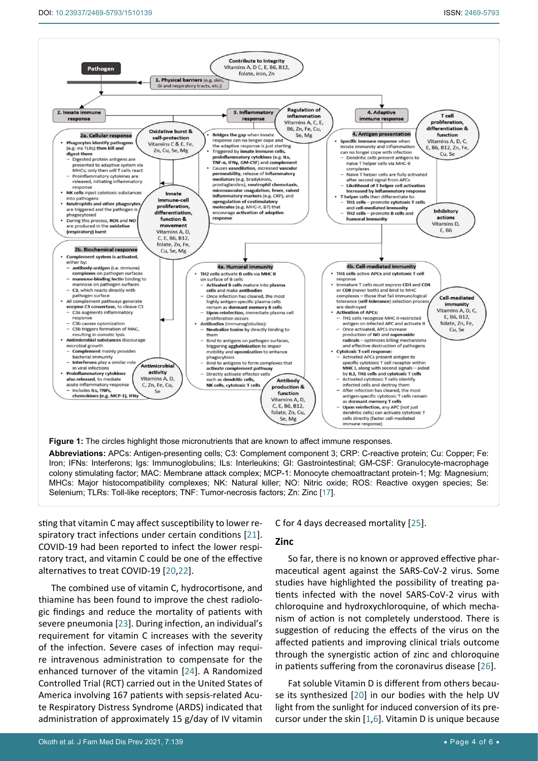<span id="page-3-0"></span>٦



**Abbreviations:** APCs: Antigen-presenting cells; C3: Complement component 3; CRP: C-reactive protein; Cu: Copper; Fe: Iron; IFNs: Interferons; Igs: Immunoglobulins; ILs: Interleukins; GI: Gastrointestinal; GM-CSF: Granulocyte-macrophage colony stimulating factor; MAC: Membrane attack complex; MCP-1: Monocyte chemoattractant protein-1; Mg: Magnesium; MHCs: Major histocompatibility complexes; NK: Natural killer; NO: Nitric oxide; ROS: Reactive oxygen species; Se: Selenium; TLRs: Toll-like receptors; TNF: Tumor-necrosis factors; Zn: Zinc [[17](#page-5-7)].

sting that vitamin C may affect susceptibility to lower respiratory tract infections under certain conditions [[21](#page-5-12)]. COVID-19 had been reported to infect the lower respiratory tract, and vitamin C could be one of the effective alternatives to treat COVID-19 [[20,](#page-5-10)[22](#page-5-11)].

The combined use of vitamin C, hydrocortisone, and thiamine has been found to improve the chest radiologic findings and reduce the mortality of patients with severe pneumonia [[23\]](#page-5-18). During infection, an individual's requirement for vitamin C increases with the severity of the infection. Severe cases of infection may require intravenous administration to compensate for the enhanced turnover of the vitamin [\[24](#page-5-19)]. A Randomized Controlled Trial (RCT) carried out in the United States of America involving 167 patients with sepsis-related Acute Respiratory Distress Syndrome (ARDS) indicated that administration of approximately 15 g/day of IV vitamin C for 4 days decreased mortality [[25](#page-5-16)].

#### **Zinc**

So far, there is no known or approved effective pharmaceutical agent against the SARS-CoV-2 virus. Some studies have highlighted the possibility of treating patients infected with the novel SARS-CoV-2 virus with chloroquine and hydroxychloroquine, of which mechanism of action is not completely understood. There is suggestion of reducing the effects of the virus on the affected patients and improving clinical trials outcome through the synergistic action of zinc and chloroquine in patients suffering from the coronavirus disease [[26](#page-5-17)].

Fat soluble Vitamin D is different from others because its synthesized [[20](#page-5-10)] in our bodies with the help UV light from the sunlight for induced conversion of its precursor under the skin  $[1,6]$  $[1,6]$  $[1,6]$  $[1,6]$ . Vitamin D is unique because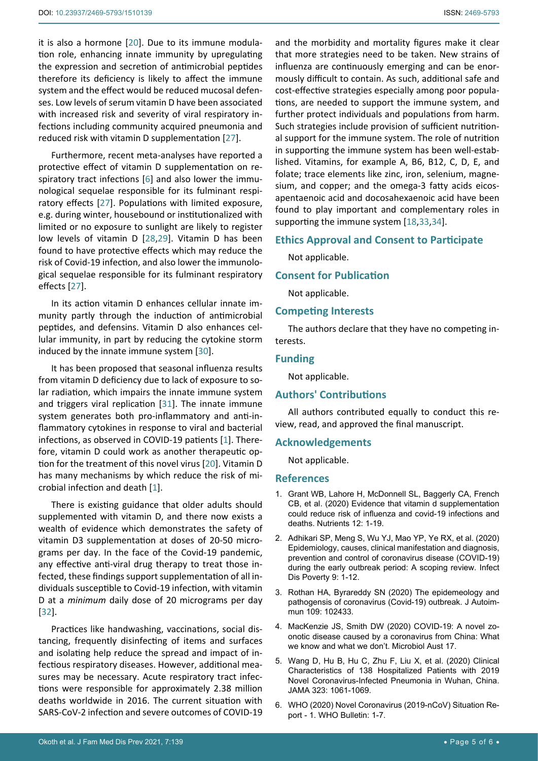it is also a hormone [[20](#page-5-10)]. Due to its immune modulation role, enhancing innate immunity by upregulating the expression and secretion of antimicrobial peptides therefore its deficiency is likely to affect the immune system and the effect would be reduced mucosal defenses. Low levels of serum vitamin D have been associated with increased risk and severity of viral respiratory infections including community acquired pneumonia and reduced risk with vitamin D supplementation [[27\]](#page-5-22).

Furthermore, recent meta-analyses have reported a protective effect of vitamin D supplementation on respiratory tract infections [[6](#page-4-1)] and also lower the immunological sequelae responsible for its fulminant respiratory effects [[27\]](#page-5-22). Populations with limited exposure, e.g. during winter, housebound or institutionalized with limited or no exposure to sunlight are likely to register low levels of vitamin D [[28](#page-5-23),[29\]](#page-5-24). Vitamin D has been found to have protective effects which may reduce the risk of Covid-19 infection, and also lower the immunological sequelae responsible for its fulminant respiratory effects [\[27\]](#page-5-22).

In its action vitamin D enhances cellular innate immunity partly through the induction of antimicrobial peptides, and defensins. Vitamin D also enhances cellular immunity, in part by reducing the cytokine storm induced by the innate immune system [\[30\]](#page-5-25).

It has been proposed that seasonal influenza results from vitamin D deficiency due to lack of exposure to solar radiation, which impairs the innate immune system and triggers viral replication [\[31](#page-5-26)]. The innate immune system generates both pro-inflammatory and anti-inflammatory cytokines in response to viral and bacterial infections, as observed in COVID-19 patients [[1](#page-4-2)]. Therefore, vitamin D could work as another therapeutic option for the treatment of this novel virus [[20](#page-5-10)]. Vitamin D has many mechanisms by which reduce the risk of microbial infection and death [[1](#page-4-2)].

There is existing guidance that older adults should supplemented with vitamin D, and there now exists a wealth of evidence which demonstrates the safety of vitamin D3 supplementation at doses of 20-50 micrograms per day. In the face of the Covid-19 pandemic, any effective anti-viral drug therapy to treat those infected, these findings support supplementation of all individuals susceptible to Covid-19 infection, with vitamin D at a *minimum* daily dose of 20 micrograms per day [[32](#page-5-27)].

Practices like handwashing, vaccinations, social distancing, frequently disinfecting of items and surfaces and isolating help reduce the spread and impact of infectious respiratory diseases. However, additional measures may be necessary. Acute respiratory tract infections were responsible for approximately 2.38 million deaths worldwide in 2016. The current situation with SARS-CoV-2 infection and severe outcomes of COVID-19 and the morbidity and mortality figures make it clear that more strategies need to be taken. New strains of influenza are continuously emerging and can be enormously difficult to contain. As such, additional safe and cost-effective strategies especially among poor populations, are needed to support the immune system, and further protect individuals and populations from harm. Such strategies include provision of sufficient nutritional support for the immune system. The role of nutrition in supporting the immune system has been well-established. Vitamins, for example A, B6, B12, C, D, E, and folate; trace elements like zinc, iron, selenium, magnesium, and copper; and the omega-3 fatty acids eicosapentaenoic acid and docosahexaenoic acid have been found to play important and complementary roles in supporting the immune system [[18](#page-5-8),[33](#page-5-20),[34\]](#page-5-21).

#### **Ethics Approval and Consent to Participate**

Not applicable.

#### **Consent for Publication**

Not applicable.

#### **Competing Interests**

The authors declare that they have no competing interests.

#### **Funding**

Not applicable.

#### **Authors' Contributions**

All authors contributed equally to conduct this review, read, and approved the final manuscript.

#### **Acknowledgements**

Not applicable.

#### **References**

- <span id="page-4-2"></span>1. [Grant WB, Lahore H, McDonnell SL, Baggerly CA, French](https://pubmed.ncbi.nlm.nih.gov/32252338/)  [CB, et al. \(2020\) Evidence that vitamin d supplementation](https://pubmed.ncbi.nlm.nih.gov/32252338/)  [could reduce risk of influenza and covid-19 infections and](https://pubmed.ncbi.nlm.nih.gov/32252338/)  [deaths. Nutrients 12: 1-19.](https://pubmed.ncbi.nlm.nih.gov/32252338/)
- <span id="page-4-0"></span>2. [Adhikari SP, Meng S, Wu YJ, Mao YP, Ye RX, et al. \(2020\)](https://pubmed.ncbi.nlm.nih.gov/32183901/)  [Epidemiology, causes, clinical manifestation and diagnosis,](https://pubmed.ncbi.nlm.nih.gov/32183901/)  [prevention and control of coronavirus disease \(COVID-19\)](https://pubmed.ncbi.nlm.nih.gov/32183901/)  [during the early outbreak period: A scoping review. Infect](https://pubmed.ncbi.nlm.nih.gov/32183901/)  [Dis Poverty 9: 1-12.](https://pubmed.ncbi.nlm.nih.gov/32183901/)
- <span id="page-4-3"></span>3. [Rothan HA, Byrareddy SN \(2020\) The epidemeology and](https://pubmed.ncbi.nlm.nih.gov/32113704/)  [pathogensis of coronavirus \(Covid-19\) outbreak. J Autoim](https://pubmed.ncbi.nlm.nih.gov/32113704/)[mun 109: 102433.](https://pubmed.ncbi.nlm.nih.gov/32113704/)
- <span id="page-4-4"></span>4. [MacKenzie JS, Smith DW \(2020\) COVID-19: A novel zo](https://www.ncbi.nlm.nih.gov/pmc/articles/PMC7086482/)[onotic disease caused by a coronavirus from China: What](https://www.ncbi.nlm.nih.gov/pmc/articles/PMC7086482/)  [we know and what we don't. Microbiol Aust 17.](https://www.ncbi.nlm.nih.gov/pmc/articles/PMC7086482/)
- <span id="page-4-5"></span>5. [Wang D, Hu B, Hu C, Zhu F, Liu X, et al. \(2020\) Clinical](https://pubmed.ncbi.nlm.nih.gov/32031570/)  [Characteristics of 138 Hospitalized Patients with 2019](https://pubmed.ncbi.nlm.nih.gov/32031570/)  [Novel Coronavirus-Infected Pneumonia in Wuhan, China.](https://pubmed.ncbi.nlm.nih.gov/32031570/)  [JAMA 323: 1061-1069.](https://pubmed.ncbi.nlm.nih.gov/32031570/)
- <span id="page-4-1"></span>6. [WHO \(2020\) Novel Coronavirus \(2019-nCoV\) Situation Re](https://www.who.int/docs/default-source/coronaviruse/situation-reports/20200121-sitrep-1-2019-ncov.pdf)[port - 1. WHO Bulletin: 1-7.](https://www.who.int/docs/default-source/coronaviruse/situation-reports/20200121-sitrep-1-2019-ncov.pdf)